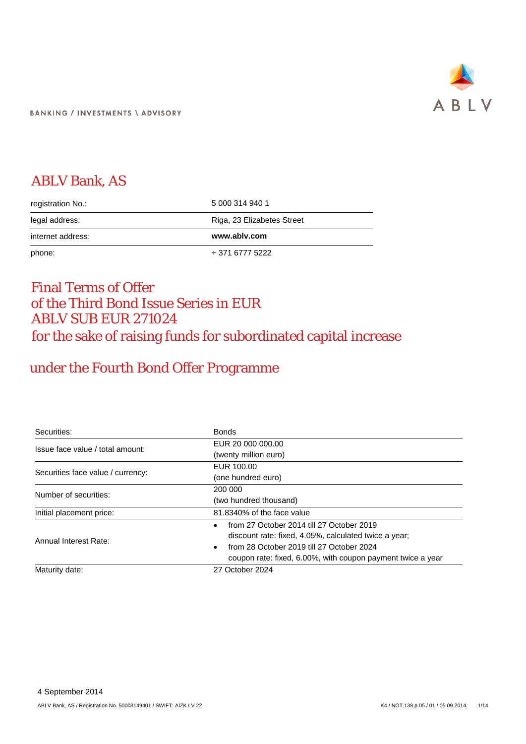

# ABLV Bank, AS

| registration No.: | 5 000 314 940 1            |
|-------------------|----------------------------|
| legal address:    | Riga, 23 Elizabetes Street |
| internet address: | www.ablv.com               |
| phone:            | + 371 6777 5222            |

# Final Terms of Offer of the Third Bond Issue Series in EUR ABLV SUB EUR 271024 for the sake of raising funds for subordinated capital increase

# under the Fourth Bond Offer Programme

| Securities:                       | <b>Bonds</b>                                                |
|-----------------------------------|-------------------------------------------------------------|
| Issue face value / total amount:  | EUR 20 000 000.00                                           |
|                                   | (twenty million euro)                                       |
|                                   | EUR 100.00                                                  |
| Securities face value / currency: | (one hundred euro)                                          |
| Number of securities:             | 200 000                                                     |
|                                   | (two hundred thousand)                                      |
| Initial placement price:          | 81.8340% of the face value                                  |
|                                   | from 27 October 2014 till 27 October 2019<br>$\bullet$      |
| Annual Interest Rate:             | discount rate: fixed, 4.05%, calculated twice a year;       |
|                                   | from 28 October 2019 till 27 October 2024<br>$\bullet$      |
|                                   | coupon rate: fixed, 6.00%, with coupon payment twice a year |
| Maturity date:                    | 27 October 2024                                             |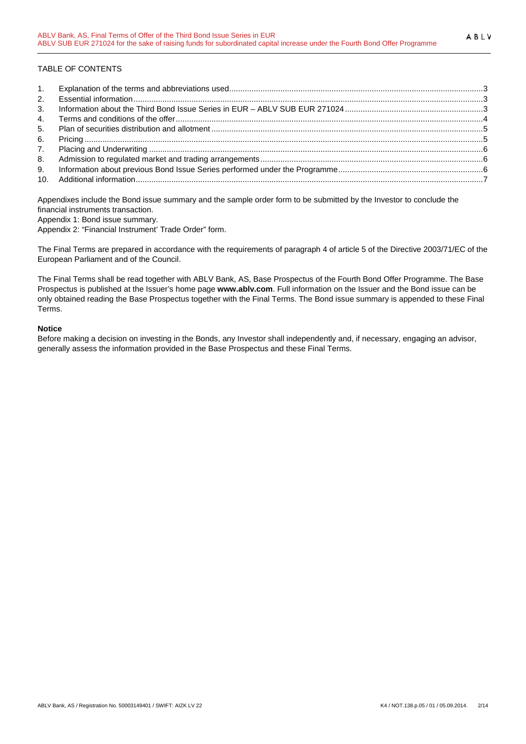# TABLE OF CONTENTS

| 2. |  |
|----|--|
| 3. |  |
| 4. |  |
| 5. |  |
|    |  |
| 7. |  |
| 8. |  |
|    |  |
|    |  |

Appendixes include the Bond issue summary and the sample order form to be submitted by the Investor to conclude the financial instruments transaction.

Appendix 1: Bond issue summary.

Appendix 2: "Financial Instrument' Trade Order" form.

The Final Terms are prepared in accordance with the requirements of paragraph 4 of article 5 of the Directive 2003/71/EC of the European Parliament and of the Council.

The Final Terms shall be read together with ABLV Bank, AS, Base Prospectus of the Fourth Bond Offer Programme. The Base Prospectus is published at the Issuer's home page **www.ablv.com**. Full information on the Issuer and the Bond issue can be only obtained reading the Base Prospectus together with the Final Terms. The Bond issue summary is appended to these Final Terms.

#### **Notice**

Before making a decision on investing in the Bonds, any Investor shall independently and, if necessary, engaging an advisor, generally assess the information provided in the Base Prospectus and these Final Terms.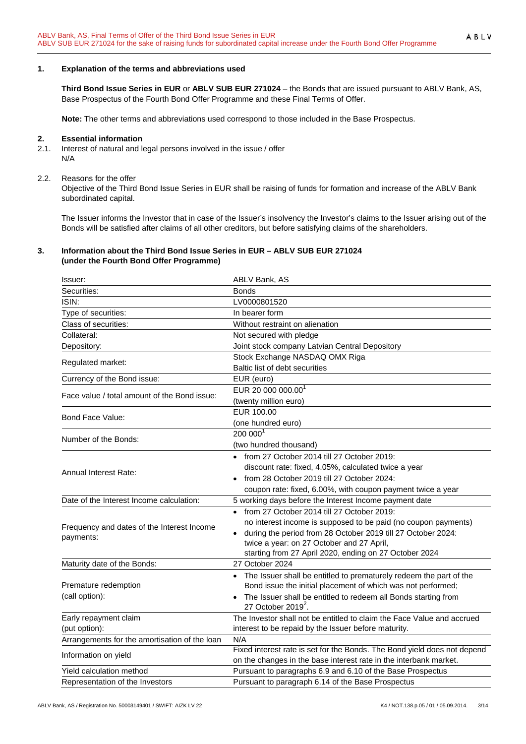<span id="page-2-0"></span>**Third Bond Issue Series in EUR** or **ABLV SUB EUR 271024** – the Bonds that are issued pursuant to ABLV Bank, AS, Base Prospectus of the Fourth Bond Offer Programme and these Final Terms of Offer.

**Note:** The other terms and abbreviations used correspond to those included in the Base Prospectus.

#### <span id="page-2-1"></span>**2. Essential information**

- 2.1. Interest of natural and legal persons involved in the issue / offer N/A
- 2.2. Reasons for the offer

Objective of the Third Bond Issue Series in EUR shall be raising of funds for formation and increase of the ABLV Bank subordinated capital.

The Issuer informs the Investor that in case of the Issuer's insolvency the Investor's claims to the Issuer arising out of the Bonds will be satisfied after claims of all other creditors, but before satisfying claims of the shareholders.

#### <span id="page-2-2"></span>**3. Information about the Third Bond Issue Series in EUR – ABLV SUB EUR 271024 (under the Fourth Bond Offer Programme)**

| Issuer:                                       | ABLV Bank, AS                                                             |
|-----------------------------------------------|---------------------------------------------------------------------------|
| Securities:                                   | Bonds                                                                     |
| ISIN:                                         | LV0000801520                                                              |
| Type of securities:                           | In bearer form                                                            |
| Class of securities:                          | Without restraint on alienation                                           |
| Collateral:                                   | Not secured with pledge                                                   |
| Depository:                                   | Joint stock company Latvian Central Depository                            |
|                                               | Stock Exchange NASDAQ OMX Riga                                            |
| Regulated market:                             | Baltic list of debt securities                                            |
| Currency of the Bond issue:                   | EUR (euro)                                                                |
| Face value / total amount of the Bond issue:  | EUR 20 000 000.00 <sup>1</sup>                                            |
|                                               | (twenty million euro)                                                     |
| Bond Face Value:                              | EUR 100.00                                                                |
|                                               | (one hundred euro)                                                        |
| Number of the Bonds:                          | 200 0001                                                                  |
|                                               | (two hundred thousand)                                                    |
|                                               | from 27 October 2014 till 27 October 2019:                                |
| <b>Annual Interest Rate:</b>                  | discount rate: fixed, 4.05%, calculated twice a year                      |
|                                               | from 28 October 2019 till 27 October 2024:                                |
|                                               | coupon rate: fixed, 6.00%, with coupon payment twice a year               |
| Date of the Interest Income calculation:      | 5 working days before the Interest Income payment date                    |
|                                               | • from 27 October 2014 till 27 October 2019:                              |
| Frequency and dates of the Interest Income    | no interest income is supposed to be paid (no coupon payments)            |
| payments:                                     | during the period from 28 October 2019 till 27 October 2024:<br>$\bullet$ |
|                                               | twice a year: on 27 October and 27 April,                                 |
|                                               | starting from 27 April 2020, ending on 27 October 2024                    |
| Maturity date of the Bonds:                   | 27 October 2024                                                           |
|                                               | • The Issuer shall be entitled to prematurely redeem the part of the      |
| Premature redemption                          | Bond issue the initial placement of which was not performed;              |
| (call option):                                | The Issuer shall be entitled to redeem all Bonds starting from            |
|                                               | 27 October 2019 $^2$ .                                                    |
| Early repayment claim                         | The Investor shall not be entitled to claim the Face Value and accrued    |
| (put option):                                 | interest to be repaid by the Issuer before maturity.                      |
| Arrangements for the amortisation of the loan | N/A                                                                       |
| Information on yield                          | Fixed interest rate is set for the Bonds. The Bond yield does not depend  |
| Yield calculation method                      | on the changes in the base interest rate in the interbank market.         |
|                                               | Pursuant to paragraphs 6.9 and 6.10 of the Base Prospectus                |
| Representation of the Investors               | Pursuant to paragraph 6.14 of the Base Prospectus                         |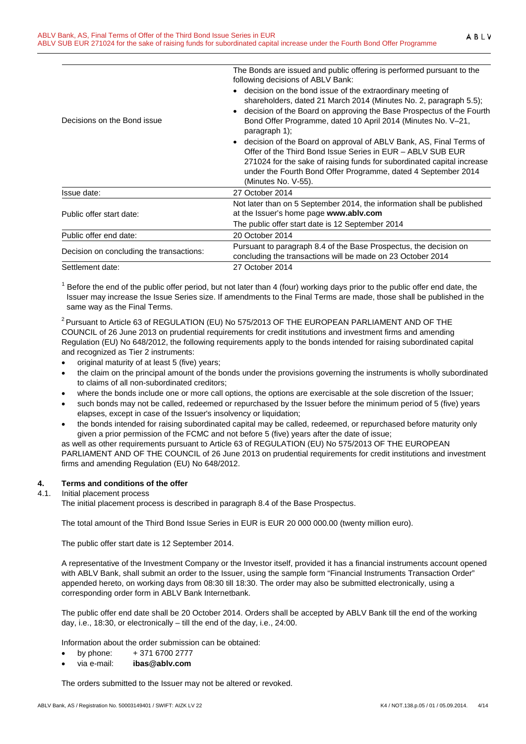| Decisions on the Bond issue              | The Bonds are issued and public offering is performed pursuant to the<br>following decisions of ABLV Bank:<br>• decision on the bond issue of the extraordinary meeting of<br>shareholders, dated 21 March 2014 (Minutes No. 2, paragraph 5.5);<br>decision of the Board on approving the Base Prospectus of the Fourth<br>$\bullet$<br>Bond Offer Programme, dated 10 April 2014 (Minutes No. V-21,<br>paragraph 1);<br>• decision of the Board on approval of ABLV Bank, AS, Final Terms of<br>Offer of the Third Bond Issue Series in EUR - ABLV SUB EUR<br>271024 for the sake of raising funds for subordinated capital increase<br>under the Fourth Bond Offer Programme, dated 4 September 2014 |
|------------------------------------------|--------------------------------------------------------------------------------------------------------------------------------------------------------------------------------------------------------------------------------------------------------------------------------------------------------------------------------------------------------------------------------------------------------------------------------------------------------------------------------------------------------------------------------------------------------------------------------------------------------------------------------------------------------------------------------------------------------|
|                                          | (Minutes No. V-55).                                                                                                                                                                                                                                                                                                                                                                                                                                                                                                                                                                                                                                                                                    |
| Issue date:                              | 27 October 2014                                                                                                                                                                                                                                                                                                                                                                                                                                                                                                                                                                                                                                                                                        |
| Public offer start date:                 | Not later than on 5 September 2014, the information shall be published<br>at the Issuer's home page www.ablv.com                                                                                                                                                                                                                                                                                                                                                                                                                                                                                                                                                                                       |
|                                          | The public offer start date is 12 September 2014                                                                                                                                                                                                                                                                                                                                                                                                                                                                                                                                                                                                                                                       |
| Public offer end date:                   | 20 October 2014                                                                                                                                                                                                                                                                                                                                                                                                                                                                                                                                                                                                                                                                                        |
| Decision on concluding the transactions: | Pursuant to paragraph 8.4 of the Base Prospectus, the decision on<br>concluding the transactions will be made on 23 October 2014                                                                                                                                                                                                                                                                                                                                                                                                                                                                                                                                                                       |
| Settlement date:                         | 27 October 2014                                                                                                                                                                                                                                                                                                                                                                                                                                                                                                                                                                                                                                                                                        |

 $1$  Before the end of the public offer period, but not later than 4 (four) working days prior to the public offer end date, the Issuer may increase the Issue Series size. If amendments to the Final Terms are made, those shall be published in the same way as the Final Terms.

 $2$  Pursuant to Article 63 of REGULATION (EU) No 575/2013 OF THE EUROPEAN PARLIAMENT AND OF THE COUNCIL of 26 June 2013 on prudential requirements for credit institutions and investment firms and amending Regulation (EU) No 648/2012, the following requirements apply to the bonds intended for raising subordinated capital and recognized as Tier 2 instruments:

- original maturity of at least 5 (five) years;
- the claim on the principal amount of the bonds under the provisions governing the instruments is wholly subordinated to claims of all non-subordinated creditors;
- where the bonds include one or more call options, the options are exercisable at the sole discretion of the Issuer;
- such bonds may not be called, redeemed or repurchased by the Issuer before the minimum period of 5 (five) years elapses, except in case of the Issuer's insolvency or liquidation;
- the bonds intended for raising subordinated capital may be called, redeemed, or repurchased before maturity only given a prior permission of the FCMC and not before 5 (five) years after the date of issue;

as well as other requirements pursuant to Article 63 of REGULATION (EU) No 575/2013 OF THE EUROPEAN PARLIAMENT AND OF THE COUNCIL of 26 June 2013 on prudential requirements for credit institutions and investment firms and amending Regulation (EU) No 648/2012.

# <span id="page-3-0"></span>**4. Terms and conditions of the offer**

#### 4.1. Initial placement process

The initial placement process is described in paragraph 8.4 of the Base Prospectus.

The total amount of the Third Bond Issue Series in EUR is EUR 20 000 000.00 (twenty million euro).

The public offer start date is 12 September 2014.

A representative of the Investment Company or the Investor itself, provided it has a financial instruments account opened with ABLV Bank, shall submit an order to the Issuer, using the sample form "Financial Instruments Transaction Order" appended hereto, on working days from 08:30 till 18:30. The order may also be submitted electronically, using a corresponding order form in ABLV Bank Internetbank.

The public offer end date shall be 20 October 2014. Orders shall be accepted by ABLV Bank till the end of the working day, i.e., 18:30, or electronically – till the end of the day, i.e., 24:00.

Information about the order submission can be obtained:

- by phone:  $+371\,6700\,2777$
- via e-mail: **ibas@ablv.com**

The orders submitted to the Issuer may not be altered or revoked.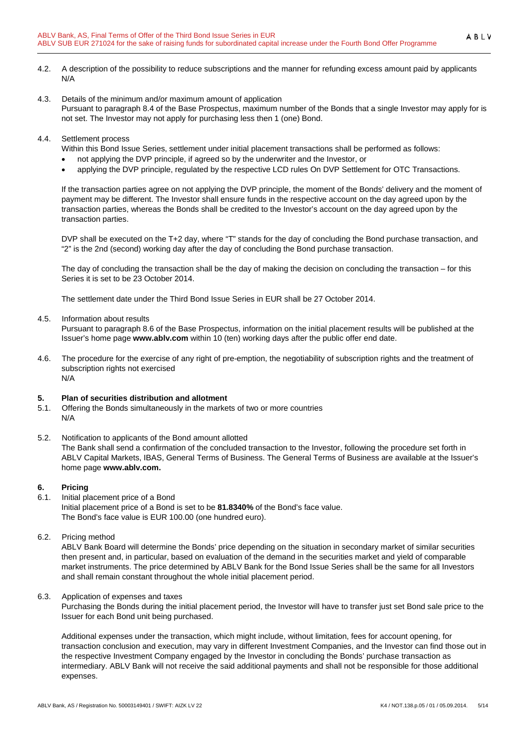- 4.2. A description of the possibility to reduce subscriptions and the manner for refunding excess amount paid by applicants N/A
- 4.3. Details of the minimum and/or maximum amount of application Pursuant to paragraph 8.4 of the Base Prospectus, maximum number of the Bonds that a single Investor may apply for is not set. The Investor may not apply for purchasing less then 1 (one) Bond.
- 4.4. Settlement process

Within this Bond Issue Series, settlement under initial placement transactions shall be performed as follows:

- not applying the DVP principle, if agreed so by the underwriter and the Investor, or
- applying the DVP principle, regulated by the respective LCD rules On DVP Settlement for OTC Transactions.

If the transaction parties agree on not applying the DVP principle, the moment of the Bonds' delivery and the moment of payment may be different. The Investor shall ensure funds in the respective account on the day agreed upon by the transaction parties, whereas the Bonds shall be credited to the Investor's account on the day agreed upon by the transaction parties.

DVP shall be executed on the T+2 day, where "T" stands for the day of concluding the Bond purchase transaction, and "2" is the 2nd (second) working day after the day of concluding the Bond purchase transaction.

The day of concluding the transaction shall be the day of making the decision on concluding the transaction – for this Series it is set to be 23 October 2014.

The settlement date under the Third Bond Issue Series in EUR shall be 27 October 2014.

4.5. Information about results

Pursuant to paragraph 8.6 of the Base Prospectus, information on the initial placement results will be published at the Issuer's home page **www.ablv.com** within 10 (ten) working days after the public offer end date.

4.6. The procedure for the exercise of any right of pre-emption, the negotiability of subscription rights and the treatment of subscription rights not exercised N/A

#### <span id="page-4-0"></span>**5. Plan of securities distribution and allotment**

- 5.1. Offering the Bonds simultaneously in the markets of two or more countries N/A
- 5.2. Notification to applicants of the Bond amount allotted The Bank shall send a confirmation of the concluded transaction to the Investor, following the procedure set forth in ABLV Capital Markets, IBAS, General Terms of Business. The General Terms of Business are available at the Issuer's home page **[www.ablv.com.](http://www.ablv.com/)**

# <span id="page-4-1"></span>**6. Pricing**

- 6.1. Initial placement price of a Bond Initial placement price of a Bond is set to be **81.8340%** of the Bond's face value. The Bond's face value is EUR 100.00 (one hundred euro).
- 6.2. Pricing method

ABLV Bank Board will determine the Bonds' price depending on the situation in secondary market of similar securities then present and, in particular, based on evaluation of the demand in the securities market and yield of comparable market instruments. The price determined by ABLV Bank for the Bond Issue Series shall be the same for all Investors and shall remain constant throughout the whole initial placement period.

#### 6.3. Application of expenses and taxes

Purchasing the Bonds during the initial placement period, the Investor will have to transfer just set Bond sale price to the Issuer for each Bond unit being purchased.

Additional expenses under the transaction, which might include, without limitation, fees for account opening, for transaction conclusion and execution, may vary in different Investment Companies, and the Investor can find those out in the respective Investment Company engaged by the Investor in concluding the Bonds' purchase transaction as intermediary. ABLV Bank will not receive the said additional payments and shall not be responsible for those additional expenses.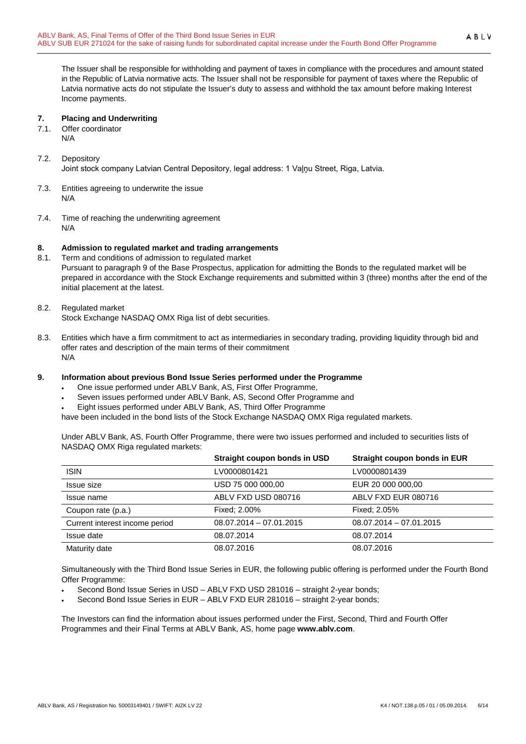The Issuer shall be responsible for withholding and payment of taxes in compliance with the procedures and amount stated in the Republic of Latvia normative acts. The Issuer shall not be responsible for payment of taxes where the Republic of Latvia normative acts do not stipulate the Issuer's duty to assess and withhold the tax amount before making Interest Income payments.

#### <span id="page-5-0"></span>**7. Placing and Underwriting**

- 7.1. Offer coordinator
	- N/A

# 7.2. Depository

Joint stock company Latvian Central Depository, legal address: 1 Vaļņu Street, Riga, Latvia.

- 7.3. Entities agreeing to underwrite the issue N/A
- 7.4. Time of reaching the underwriting agreement N/A

# <span id="page-5-1"></span>**8. Admission to regulated market and trading arrangements**

- 8.1. Term and conditions of admission to regulated market Pursuant to paragraph 9 of the Base Prospectus, application for admitting the Bonds to the regulated market will be prepared in accordance with the Stock Exchange requirements and submitted within 3 (three) months after the end of the initial placement at the latest.
- 8.2. Regulated market

Stock Exchange NASDAQ OMX Riga list of debt securities.

8.3. Entities which have a firm commitment to act as intermediaries in secondary trading, providing liquidity through bid and offer rates and description of the main terms of their commitment N/A

# <span id="page-5-2"></span>**9. Information about previous Bond Issue Series performed under the Programme**

- One issue performed under ABLV Bank, AS, First Offer Programme,
- Seven issues performed under ABLV Bank, AS, Second Offer Programme and
- Eight issues performed under ABLV Bank, AS, Third Offer Programme

have been included in the bond lists of the Stock Exchange NASDAQ OMX Riga regulated markets.

Under ABLV Bank, AS, Fourth Offer Programme, there were two issues performed and included to securities lists of NASDAQ OMX Riga regulated markets:

|                                | Straight coupon bonds in USD | Straight coupon bonds in EUR |
|--------------------------------|------------------------------|------------------------------|
| <b>ISIN</b>                    | LV0000801421                 | LV0000801439                 |
| Issue size                     | USD 75 000 000,00            | EUR 20 000 000,00            |
| Issue name                     | ABLV FXD USD 080716          | ABLV FXD EUR 080716          |
| Coupon rate (p.a.)             | Fixed: 2.00%                 | Fixed: 2.05%                 |
| Current interest income period | $08.07.2014 - 07.01.2015$    | $08.07.2014 - 07.01.2015$    |
| Issue date                     | 08.07.2014                   | 08.07.2014                   |
| Maturity date                  | 08.07.2016                   | 08.07.2016                   |

Simultaneously with the Third Bond Issue Series in EUR, the following public offering is performed under the Fourth Bond Offer Programme:

- Second Bond Issue Series in USD ABLV FXD USD 281016 straight 2-year bonds;
- Second Bond Issue Series in EUR ABLV FXD EUR 281016 straight 2-year bonds;

The Investors can find the information about issues performed under the First, Second, Third and Fourth Offer Programmes and their Final Terms at ABLV Bank, AS, home page **[www.ablv.com](http://www.ablv.com/)**.

ABLV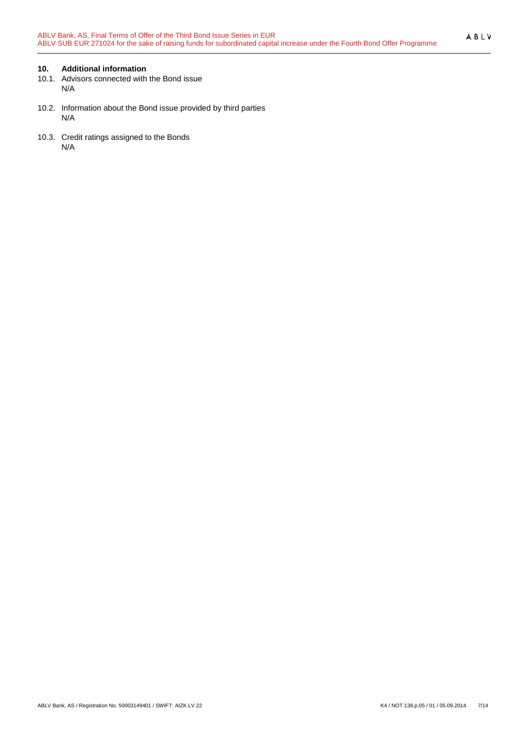# <span id="page-6-0"></span>**10. Additional information**

- 10.1. Advisors connected with the Bond issue N/A
- 10.2. Information about the Bond issue provided by third parties N/A
- 10.3. Credit ratings assigned to the Bonds N/A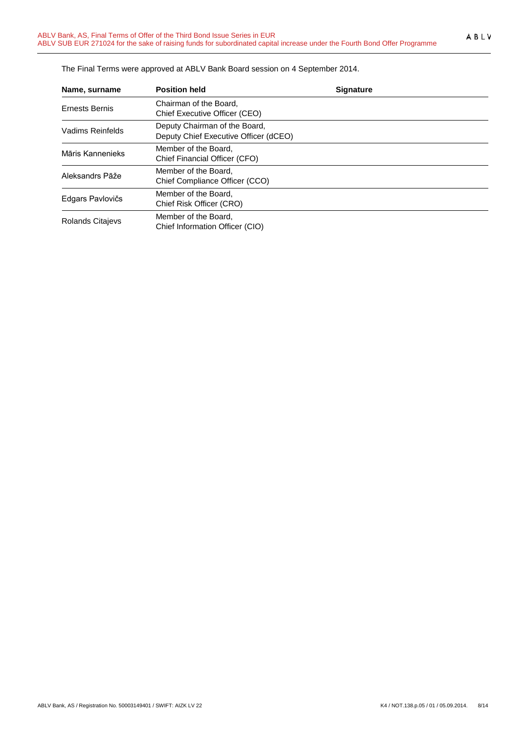| Name, surname           | <b>Position held</b>                                                   | <b>Signature</b> |
|-------------------------|------------------------------------------------------------------------|------------------|
| <b>Ernests Bernis</b>   | Chairman of the Board,<br>Chief Executive Officer (CEO)                |                  |
| Vadims Reinfelds        | Deputy Chairman of the Board,<br>Deputy Chief Executive Officer (dCEO) |                  |
| Māris Kannenieks        | Member of the Board,<br>Chief Financial Officer (CFO)                  |                  |
| Aleksandrs Pāže         | Member of the Board,<br>Chief Compliance Officer (CCO)                 |                  |
| Edgars Pavlovičs        | Member of the Board,<br>Chief Risk Officer (CRO)                       |                  |
| <b>Rolands Citajevs</b> | Member of the Board,<br>Chief Information Officer (CIO)                |                  |

The Final Terms were approved at ABLV Bank Board session on 4 September 2014.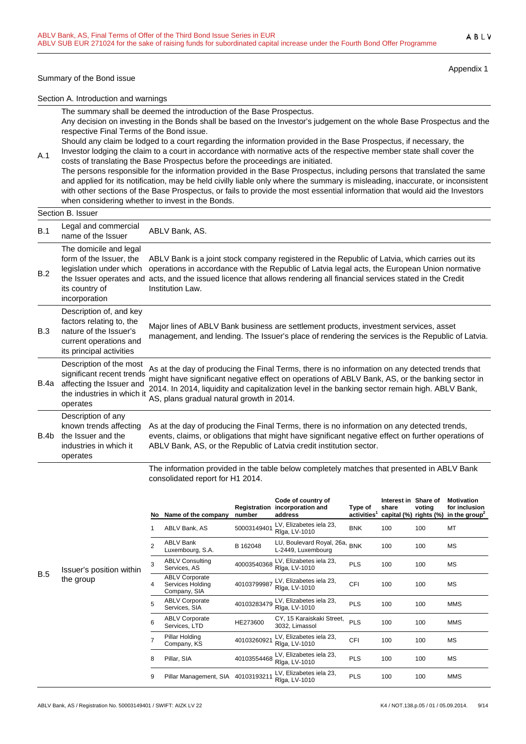#### Summary of the Bond issue

Appendix 1

Section A. Introduction and warnings

The summary shall be deemed the introduction of the Base Prospectus.

Any decision on investing in the Bonds shall be based on the Investor's judgement on the whole Base Prospectus and the respective Final Terms of the Bond issue.

Should any claim be lodged to a court regarding the information provided in the Base Prospectus, if necessary, the Investor lodging the claim to a court in accordance with normative acts of the respective member state shall cover the

costs of translating the Base Prospectus before the proceedings are initiated. The persons responsible for the information provided in the Base Prospectus, including persons that translated the same and applied for its notification, may be held civilly liable only where the summary is misleading, inaccurate, or inconsistent with other sections of the Base Prospectus, or fails to provide the most essential information that would aid the Investors when considering whether to invest in the Bonds.

# Section B. Issuer

A.1

| B.1  | Legal and commercial<br>name of the Issuer                                                                                                 | ABLV Bank, AS.                                                                                                                                                                                                                                                                                                                                     |
|------|--------------------------------------------------------------------------------------------------------------------------------------------|----------------------------------------------------------------------------------------------------------------------------------------------------------------------------------------------------------------------------------------------------------------------------------------------------------------------------------------------------|
| B.2  | The domicile and legal<br>form of the Issuer, the<br>legislation under which<br>the Issuer operates and<br>its country of<br>incorporation | ABLV Bank is a joint stock company registered in the Republic of Latvia, which carries out its<br>operations in accordance with the Republic of Latvia legal acts, the European Union normative<br>acts, and the issued licence that allows rendering all financial services stated in the Credit<br>Institution Law.                              |
| B.3  | Description of, and key<br>factors relating to, the<br>nature of the Issuer's<br>current operations and<br>its principal activities        | Major lines of ABLV Bank business are settlement products, investment services, asset<br>management, and lending. The Issuer's place of rendering the services is the Republic of Latvia.                                                                                                                                                          |
| B.4a | Description of the most<br>significant recent trends<br>affecting the Issuer and<br>the industries in which it<br>operates                 | As at the day of producing the Final Terms, there is no information on any detected trends that<br>might have significant negative effect on operations of ABLV Bank, AS, or the banking sector in<br>2014. In 2014, liquidity and capitalization level in the banking sector remain high. ABLV Bank,<br>AS, plans gradual natural growth in 2014. |
| B.4b | Description of any<br>known trends affecting<br>the Issuer and the<br>industries in which it<br>operates                                   | As at the day of producing the Final Terms, there is no information on any detected trends,<br>events, claims, or obligations that might have significant negative effect on further operations of<br>ABLV Bank, AS, or the Republic of Latvia credit institution sector.                                                                          |

The information provided in the table below completely matches that presented in ABLV Bank consolidated report for H1 2014.

|   |                | No Name of the company                                    | number      | Code of country of<br>Registration incorporation and<br>address | Type of<br>$\overline{\text{activities}}^1$ | Interest in<br>share<br>capital (%) rights (%) | Share of<br>voting | <b>Motivation</b><br>for inclusion<br>in the group <sup><math>\epsilon</math></sup> |
|---|----------------|-----------------------------------------------------------|-------------|-----------------------------------------------------------------|---------------------------------------------|------------------------------------------------|--------------------|-------------------------------------------------------------------------------------|
|   | 1              | ABLV Bank, AS                                             | 50003149401 | LV, Elizabetes iela 23,<br>Rīga, LV-1010                        | <b>BNK</b>                                  | 100                                            | 100                | MT                                                                                  |
|   | $\overline{2}$ | <b>ABLV Bank</b><br>Luxembourg, S.A.                      | B 162048    | LU, Boulevard Royal, 26a,<br>L-2449, Luxembourg                 | <b>BNK</b>                                  | 100                                            | 100                | МS                                                                                  |
| n | 3              | <b>ABLV Consulting</b><br>Services, AS                    | 40003540368 | LV, Elizabetes iela 23,<br>Rīga, LV-1010                        | <b>PLS</b>                                  | 100                                            | 100                | МS                                                                                  |
|   | 4              | <b>ABLV Corporate</b><br>Services Holding<br>Company, SIA | 40103799987 | LV, Elizabetes iela 23,<br>Rīga, LV-1010                        | <b>CFI</b>                                  | 100                                            | 100                | МS                                                                                  |
|   | 5              | <b>ABLV Corporate</b><br>Services, SIA                    | 40103283479 | LV, Elizabetes iela 23,<br>Rīga, LV-1010                        | <b>PLS</b>                                  | 100                                            | 100                | <b>MMS</b>                                                                          |
|   | 6              | <b>ABLV Corporate</b><br>Services, LTD                    | HE273600    | CY, 15 Karaiskaki Street,<br>3032, Limassol                     | <b>PLS</b>                                  | 100                                            | 100                | <b>MMS</b>                                                                          |
|   | 7              | Pillar Holding<br>Company, KS                             | 40103260921 | LV, Elizabetes iela 23,<br>Rīga, LV-1010                        | <b>CFI</b>                                  | 100                                            | 100                | <b>MS</b>                                                                           |
|   | 8              | Pillar, SIA                                               | 40103554468 | LV, Elizabetes iela 23,<br>Rīga, LV-1010                        | <b>PLS</b>                                  | 100                                            | 100                | МS                                                                                  |
|   | 9              | Pillar Management, SIA                                    | 40103193211 | LV, Elizabetes iela 23,<br>Rīga, LV-1010                        | <b>PLS</b>                                  | 100                                            | 100                | <b>MMS</b>                                                                          |

 $B.5$  Issuer's position withi the group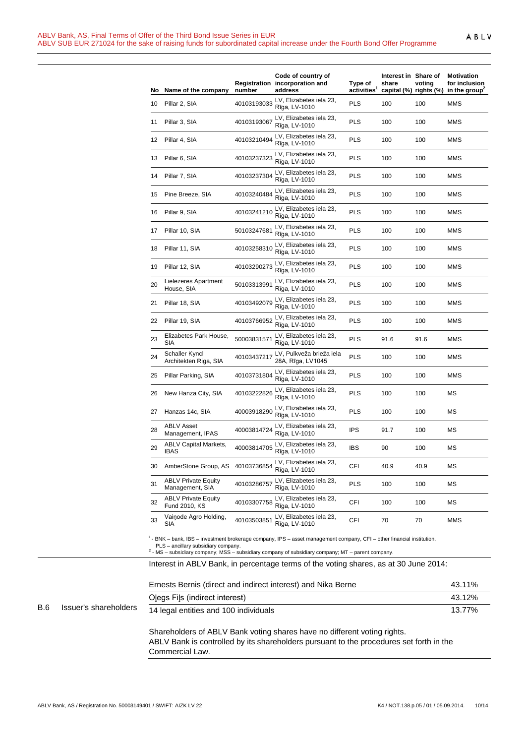|  | o |  |
|--|---|--|
|--|---|--|

| No. | Name of the company                           | number      | Code of country of<br>Registration incorporation and<br>address                                                                                                                                                                          | Type of<br>activities <sup>1</sup> | Interest in Share of<br>share<br>capital (%) rights (%) | voting | <b>Motivation</b><br>for inclusion<br>in the group <sup>2</sup> |
|-----|-----------------------------------------------|-------------|------------------------------------------------------------------------------------------------------------------------------------------------------------------------------------------------------------------------------------------|------------------------------------|---------------------------------------------------------|--------|-----------------------------------------------------------------|
| 10  | Pillar 2, SIA                                 | 40103193033 | LV, Elizabetes iela 23,<br>Rīga, LV-1010                                                                                                                                                                                                 | <b>PLS</b>                         | 100                                                     | 100    | MMS                                                             |
| 11  | Pillar 3, SIA                                 | 40103193067 | LV, Elizabetes iela 23,<br>Rīga, LV-1010                                                                                                                                                                                                 | <b>PLS</b>                         | 100                                                     | 100    | MMS                                                             |
| 12  | Pillar 4, SIA                                 | 40103210494 | LV, Elizabetes iela 23,<br>Rīga, LV-1010                                                                                                                                                                                                 | <b>PLS</b>                         | 100                                                     | 100    | <b>MMS</b>                                                      |
| 13  | Pillar 6, SIA                                 | 40103237323 | LV, Elizabetes iela 23,<br>Rīga, LV-1010                                                                                                                                                                                                 | <b>PLS</b>                         | 100                                                     | 100    | MMS                                                             |
| 14  | Pillar 7, SIA                                 | 40103237304 | LV, Elizabetes iela 23,<br>Rīga, LV-1010                                                                                                                                                                                                 | <b>PLS</b>                         | 100                                                     | 100    | MMS                                                             |
| 15  | Pine Breeze, SIA                              | 40103240484 | LV, Elizabetes iela 23,<br>Rīga, LV-1010                                                                                                                                                                                                 | PLS                                | 100                                                     | 100    | MMS                                                             |
| 16  | Pillar 9, SIA                                 | 40103241210 | LV, Elizabetes iela 23,<br>Rīga, LV-1010                                                                                                                                                                                                 | <b>PLS</b>                         | 100                                                     | 100    | MMS                                                             |
| 17  | Pillar 10, SIA                                | 50103247681 | LV, Elizabetes iela 23,<br>Rīga, LV-1010                                                                                                                                                                                                 | <b>PLS</b>                         | 100                                                     | 100    | <b>MMS</b>                                                      |
| 18  | Pillar 11, SIA                                | 40103258310 | LV, Elizabetes iela 23,<br>Rīga, LV-1010                                                                                                                                                                                                 | <b>PLS</b>                         | 100                                                     | 100    | <b>MMS</b>                                                      |
| 19  | Pillar 12, SIA                                | 40103290273 | LV, Elizabetes iela 23,<br>Rīga, LV-1010                                                                                                                                                                                                 | <b>PLS</b>                         | 100                                                     | 100    | MMS                                                             |
| 20  | Lielezeres Apartment<br>House, SIA            | 50103313991 | LV, Elizabetes iela 23,<br>Rīga, LV-1010                                                                                                                                                                                                 | <b>PLS</b>                         | 100                                                     | 100    | <b>MMS</b>                                                      |
| 21  | Pillar 18, SIA                                | 40103492079 | LV, Elizabetes iela 23,<br>Rīga, LV-1010                                                                                                                                                                                                 | <b>PLS</b>                         | 100                                                     | 100    | MMS                                                             |
| 22  | Pillar 19, SIA                                | 40103766952 | LV, Elizabetes iela 23,<br>Rīga, LV-1010                                                                                                                                                                                                 | <b>PLS</b>                         | 100                                                     | 100    | MMS                                                             |
| 23  | Elizabetes Park House,<br>SIA                 | 50003831571 | LV, Elizabetes iela 23,<br>Rīga, LV-1010                                                                                                                                                                                                 | <b>PLS</b>                         | 91.6                                                    | 91.6   | MMS                                                             |
| 24  | Schaller Kyncl<br>Architekten Riga, SIA       | 40103437217 | LV, Pulkveža brieža iela<br>28A, Rīga, LV1045                                                                                                                                                                                            | <b>PLS</b>                         | 100                                                     | 100    | <b>MMS</b>                                                      |
| 25  | Pillar Parking, SIA                           | 40103731804 | LV, Elizabetes iela 23,<br>Rīga, LV-1010                                                                                                                                                                                                 | <b>PLS</b>                         | 100                                                     | 100    | MMS                                                             |
| 26  | New Hanza City, SIA                           | 40103222826 | LV, Elizabetes iela 23,<br>Rīga, LV-1010                                                                                                                                                                                                 | <b>PLS</b>                         | 100                                                     | 100    | МS                                                              |
| 27  | Hanzas 14c, SIA                               | 40003918290 | LV, Elizabetes iela 23,<br>Rīga, LV-1010                                                                                                                                                                                                 | <b>PLS</b>                         | 100                                                     | 100    | МS                                                              |
| 28  | <b>ABLV Asset</b><br>Management, IPAS         | 40003814724 | LV, Elizabetes iela 23,<br>Rīga, LV-1010                                                                                                                                                                                                 | <b>IPS</b>                         | 91.7                                                    | 100    | МS                                                              |
| 29  | <b>ABLV Capital Markets,</b><br><b>IBAS</b>   | 40003814705 | LV, Elizabetes iela 23,<br>Rīga, LV-1010                                                                                                                                                                                                 | <b>IBS</b>                         | 90                                                      | 100    | MS                                                              |
| 30  | AmberStone Group, AS 40103736854              |             | LV, Elizabetes iela 23,<br>Rīga, LV-1010                                                                                                                                                                                                 | CFI                                | 40.9                                                    | 40.9   | МS                                                              |
| 31  | <b>ABLV Private Equity</b><br>Management, SIA | 40103286757 | LV, Elizabetes iela 23,<br>Rīga, LV-1010                                                                                                                                                                                                 | PLS                                | 100                                                     | 100    | МS                                                              |
| 32  | <b>ABLV Private Equity</b><br>Fund 2010, KS   | 40103307758 | LV, Elizabetes iela 23,<br>Rīga, LV-1010                                                                                                                                                                                                 | CFI                                | 100                                                     | 100    | МS                                                              |
| 33  | Vainode Agro Holding,<br>SIA                  | 40103503851 | LV, Elizabetes iela 23,<br>Rīga, LV-1010                                                                                                                                                                                                 | CFI                                | 70                                                      | 70     | MMS                                                             |
|     | PLS - ancillary subsidiary company.           |             | <sup>1</sup> - BNK – bank, IBS – investment brokerage company, IPS – asset management company, CFI – other financial institution,<br>$2 - MS$ – subsidiary company; MSS – subsidiary company of subsidiary company; MT – parent company. |                                    |                                                         |        |                                                                 |

|            |                       | Ernests Bernis (direct and indirect interest) and Nika Berne | 43.11% |
|------------|-----------------------|--------------------------------------------------------------|--------|
|            |                       | Olegs Fils (indirect interest)                               | 43.12% |
| <b>B.6</b> | Issuer's shareholders | 14 legal entities and 100 individuals                        | 13.77% |

Shareholders of ABLV Bank voting shares have no different voting rights. ABLV Bank is controlled by its shareholders pursuant to the procedures set forth in the Commercial Law.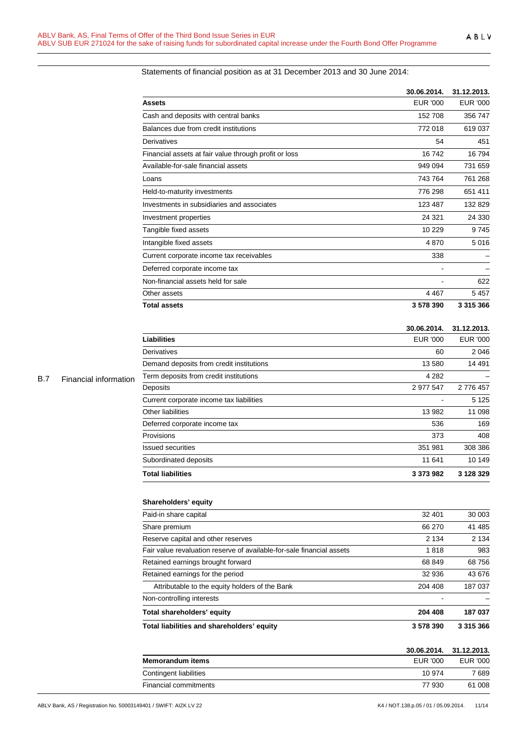# Statements of financial position as at 31 December 2013 and 30 June 2014:

|                                                       | 30.06.2014.     | 31.12.2013. |  |
|-------------------------------------------------------|-----------------|-------------|--|
| Assets                                                | <b>EUR '000</b> | EUR '000    |  |
| Cash and deposits with central banks                  | 152 708         | 356 747     |  |
| Balances due from credit institutions                 | 772 018         | 619037      |  |
| Derivatives                                           | 54              | 451         |  |
| Financial assets at fair value through profit or loss | 16742           | 16794       |  |
| Available-for-sale financial assets                   | 949 094         | 731 659     |  |
| Loans                                                 | 743764          | 761 268     |  |
| Held-to-maturity investments                          | 776 298         | 651 411     |  |
| Investments in subsidiaries and associates            | 123 487         | 132829      |  |
| Investment properties                                 | 24 3 21         | 24 3 30     |  |
| Tangible fixed assets                                 | 10 229          | 9745        |  |
| Intangible fixed assets                               | 4870            | 5016        |  |
| Current corporate income tax receivables              | 338             |             |  |
| Deferred corporate income tax                         |                 |             |  |
| Non-financial assets held for sale                    |                 | 622         |  |
| Other assets                                          | 4 4 6 7         | 5457        |  |
| <b>Total assets</b>                                   | 3578390         | 3 315 366   |  |

#### **30.06.2014. 31.12.2013.**

| <b>Liabilities</b>                       | EUR '000  | EUR '000  |
|------------------------------------------|-----------|-----------|
| Derivatives                              | 60        | 2046      |
| Demand deposits from credit institutions | 13 580    | 14 4 91   |
| Term deposits from credit institutions   | 4 2 8 2   |           |
| Deposits                                 | 2 977 547 | 2 776 457 |
| Current corporate income tax liabilities |           | 5 1 2 5   |
| Other liabilities                        | 13 982    | 11 098    |
| Deferred corporate income tax            | 536       | 169       |
| Provisions                               | 373       | 408       |
| <b>Issued securities</b>                 | 351 981   | 308 386   |
| Subordinated deposits                    | 11 641    | 10 149    |
| <b>Total liabilities</b>                 | 3 373 982 | 3 128 329 |

# B.7 Financial information

#### **Shareholders' equity**

| Total liabilities and shareholders' equity                            | 3578390 | 3 315 366 |
|-----------------------------------------------------------------------|---------|-----------|
| Total shareholders' equity                                            | 204 408 | 187 037   |
| Non-controlling interests                                             |         |           |
| Attributable to the equity holders of the Bank                        | 204 408 | 187 037   |
| Retained earnings for the period                                      | 32 936  | 43 676    |
| Retained earnings brought forward                                     | 68 849  | 68756     |
| Fair value revaluation reserve of available-for-sale financial assets | 1818    | 983       |
| Reserve capital and other reserves                                    | 2 1 3 4 | 2 1 3 4   |
| Share premium                                                         | 66 270  | 41 485    |
| Paid-in share capital                                                 | 32 401  | 30 003    |

|                              |          | 30.06.2014. 31.12.2013. |
|------------------------------|----------|-------------------------|
| <b>Memorandum items</b>      | EUR '000 | EUR '000                |
| Contingent liabilities       | 10 974   | 7 689                   |
| <b>Financial commitments</b> | 77 930   | 61 008                  |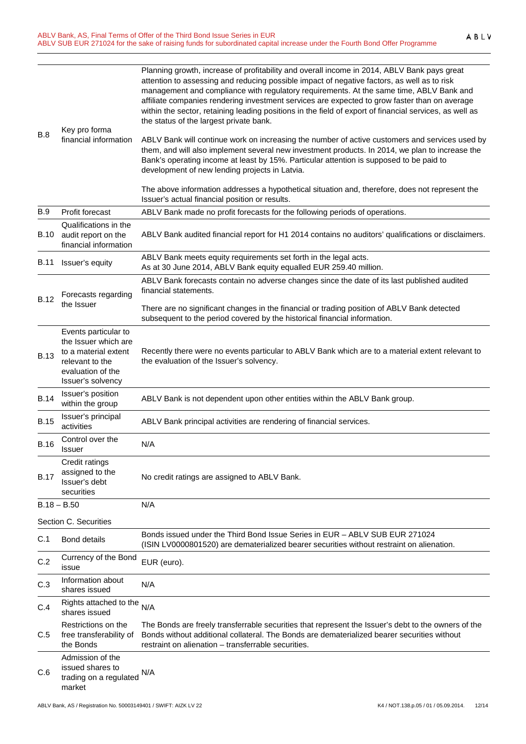| B.8         | Key pro forma<br>financial information                                                                                            | Planning growth, increase of profitability and overall income in 2014, ABLV Bank pays great<br>attention to assessing and reducing possible impact of negative factors, as well as to risk<br>management and compliance with regulatory requirements. At the same time, ABLV Bank and<br>affiliate companies rendering investment services are expected to grow faster than on average<br>within the sector, retaining leading positions in the field of export of financial services, as well as<br>the status of the largest private bank.<br>ABLV Bank will continue work on increasing the number of active customers and services used by<br>them, and will also implement several new investment products. In 2014, we plan to increase the<br>Bank's operating income at least by 15%. Particular attention is supposed to be paid to<br>development of new lending projects in Latvia. |
|-------------|-----------------------------------------------------------------------------------------------------------------------------------|------------------------------------------------------------------------------------------------------------------------------------------------------------------------------------------------------------------------------------------------------------------------------------------------------------------------------------------------------------------------------------------------------------------------------------------------------------------------------------------------------------------------------------------------------------------------------------------------------------------------------------------------------------------------------------------------------------------------------------------------------------------------------------------------------------------------------------------------------------------------------------------------|
|             |                                                                                                                                   | The above information addresses a hypothetical situation and, therefore, does not represent the<br>Issuer's actual financial position or results.                                                                                                                                                                                                                                                                                                                                                                                                                                                                                                                                                                                                                                                                                                                                              |
| <b>B.9</b>  | Profit forecast                                                                                                                   | ABLV Bank made no profit forecasts for the following periods of operations.                                                                                                                                                                                                                                                                                                                                                                                                                                                                                                                                                                                                                                                                                                                                                                                                                    |
| B.10        | Qualifications in the<br>audit report on the<br>financial information                                                             | ABLV Bank audited financial report for H1 2014 contains no auditors' qualifications or disclaimers.                                                                                                                                                                                                                                                                                                                                                                                                                                                                                                                                                                                                                                                                                                                                                                                            |
| B.11        | Issuer's equity                                                                                                                   | ABLV Bank meets equity requirements set forth in the legal acts.<br>As at 30 June 2014, ABLV Bank equity equalled EUR 259.40 million.                                                                                                                                                                                                                                                                                                                                                                                                                                                                                                                                                                                                                                                                                                                                                          |
| <b>B.12</b> | Forecasts regarding                                                                                                               | ABLV Bank forecasts contain no adverse changes since the date of its last published audited<br>financial statements.                                                                                                                                                                                                                                                                                                                                                                                                                                                                                                                                                                                                                                                                                                                                                                           |
|             | the Issuer                                                                                                                        | There are no significant changes in the financial or trading position of ABLV Bank detected<br>subsequent to the period covered by the historical financial information.                                                                                                                                                                                                                                                                                                                                                                                                                                                                                                                                                                                                                                                                                                                       |
| <b>B.13</b> | Events particular to<br>the Issuer which are<br>to a material extent<br>relevant to the<br>evaluation of the<br>Issuer's solvency | Recently there were no events particular to ABLV Bank which are to a material extent relevant to<br>the evaluation of the Issuer's solvency.                                                                                                                                                                                                                                                                                                                                                                                                                                                                                                                                                                                                                                                                                                                                                   |
| <b>B.14</b> | Issuer's position<br>within the group                                                                                             | ABLV Bank is not dependent upon other entities within the ABLV Bank group.                                                                                                                                                                                                                                                                                                                                                                                                                                                                                                                                                                                                                                                                                                                                                                                                                     |
| <b>B.15</b> | Issuer's principal<br>activities                                                                                                  | ABLV Bank principal activities are rendering of financial services.                                                                                                                                                                                                                                                                                                                                                                                                                                                                                                                                                                                                                                                                                                                                                                                                                            |
| <b>B.16</b> | Control over the<br>Issuer                                                                                                        | N/A                                                                                                                                                                                                                                                                                                                                                                                                                                                                                                                                                                                                                                                                                                                                                                                                                                                                                            |
| <b>B.17</b> | Credit ratings<br>assigned to the<br>Issuer's debt<br>securities                                                                  | No credit ratings are assigned to ABLV Bank.                                                                                                                                                                                                                                                                                                                                                                                                                                                                                                                                                                                                                                                                                                                                                                                                                                                   |
|             | $B.18 - B.50$                                                                                                                     | N/A                                                                                                                                                                                                                                                                                                                                                                                                                                                                                                                                                                                                                                                                                                                                                                                                                                                                                            |
|             | Section C. Securities                                                                                                             |                                                                                                                                                                                                                                                                                                                                                                                                                                                                                                                                                                                                                                                                                                                                                                                                                                                                                                |
| C.1         | <b>Bond details</b>                                                                                                               | Bonds issued under the Third Bond Issue Series in EUR - ABLV SUB EUR 271024<br>(ISIN LV0000801520) are dematerialized bearer securities without restraint on alienation.                                                                                                                                                                                                                                                                                                                                                                                                                                                                                                                                                                                                                                                                                                                       |
| C.2         | Currency of the Bond<br>issue                                                                                                     | EUR (euro).                                                                                                                                                                                                                                                                                                                                                                                                                                                                                                                                                                                                                                                                                                                                                                                                                                                                                    |
| C.3         | Information about<br>shares issued                                                                                                | N/A                                                                                                                                                                                                                                                                                                                                                                                                                                                                                                                                                                                                                                                                                                                                                                                                                                                                                            |
| C.4         | Rights attached to the<br>shares issued                                                                                           | N/A                                                                                                                                                                                                                                                                                                                                                                                                                                                                                                                                                                                                                                                                                                                                                                                                                                                                                            |
| C.5         | Restrictions on the<br>free transferability of<br>the Bonds                                                                       | The Bonds are freely transferrable securities that represent the Issuer's debt to the owners of the<br>Bonds without additional collateral. The Bonds are dematerialized bearer securities without<br>restraint on alienation - transferrable securities.                                                                                                                                                                                                                                                                                                                                                                                                                                                                                                                                                                                                                                      |
| C.6         | Admission of the<br>issued shares to<br>trading on a regulated<br>market                                                          | N/A                                                                                                                                                                                                                                                                                                                                                                                                                                                                                                                                                                                                                                                                                                                                                                                                                                                                                            |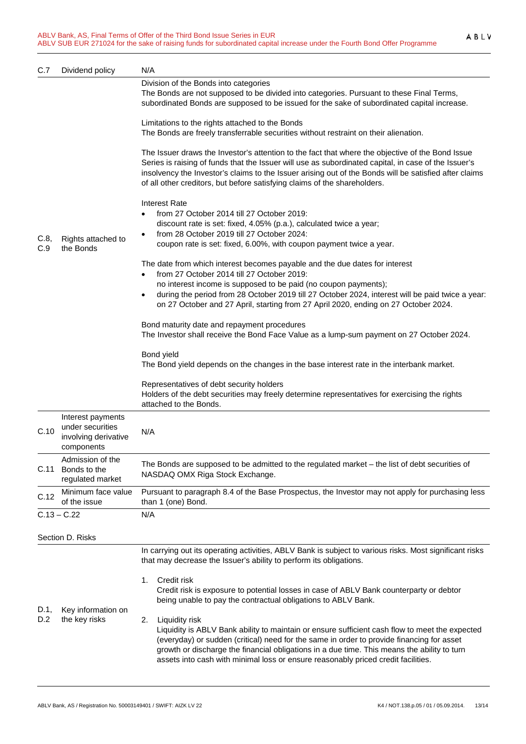| C.7         | Dividend policy                                                             | N/A                                                                                                                                                                                                                                                                                                                                                                                                     |  |
|-------------|-----------------------------------------------------------------------------|---------------------------------------------------------------------------------------------------------------------------------------------------------------------------------------------------------------------------------------------------------------------------------------------------------------------------------------------------------------------------------------------------------|--|
|             | Rights attached to<br>the Bonds                                             | Division of the Bonds into categories<br>The Bonds are not supposed to be divided into categories. Pursuant to these Final Terms,<br>subordinated Bonds are supposed to be issued for the sake of subordinated capital increase.                                                                                                                                                                        |  |
|             |                                                                             | Limitations to the rights attached to the Bonds<br>The Bonds are freely transferrable securities without restraint on their alienation.                                                                                                                                                                                                                                                                 |  |
|             |                                                                             | The Issuer draws the Investor's attention to the fact that where the objective of the Bond Issue<br>Series is raising of funds that the Issuer will use as subordinated capital, in case of the Issuer's<br>insolvency the Investor's claims to the Issuer arising out of the Bonds will be satisfied after claims<br>of all other creditors, but before satisfying claims of the shareholders.         |  |
|             |                                                                             | <b>Interest Rate</b><br>from 27 October 2014 till 27 October 2019:<br>discount rate is set: fixed, 4.05% (p.a.), calculated twice a year;                                                                                                                                                                                                                                                               |  |
| C.8,<br>C.9 |                                                                             | from 28 October 2019 till 27 October 2024:<br>coupon rate is set: fixed, 6.00%, with coupon payment twice a year.                                                                                                                                                                                                                                                                                       |  |
|             |                                                                             | The date from which interest becomes payable and the due dates for interest<br>from 27 October 2014 till 27 October 2019:<br>no interest income is supposed to be paid (no coupon payments);<br>during the period from 28 October 2019 till 27 October 2024, interest will be paid twice a year:<br>$\bullet$<br>on 27 October and 27 April, starting from 27 April 2020, ending on 27 October 2024.    |  |
|             |                                                                             | Bond maturity date and repayment procedures<br>The Investor shall receive the Bond Face Value as a lump-sum payment on 27 October 2024.                                                                                                                                                                                                                                                                 |  |
|             |                                                                             | Bond yield<br>The Bond yield depends on the changes in the base interest rate in the interbank market.                                                                                                                                                                                                                                                                                                  |  |
|             |                                                                             | Representatives of debt security holders<br>Holders of the debt securities may freely determine representatives for exercising the rights<br>attached to the Bonds.                                                                                                                                                                                                                                     |  |
| C.10        | Interest payments<br>under securities<br>involving derivative<br>components | N/A                                                                                                                                                                                                                                                                                                                                                                                                     |  |
| C.11        | Admission of the<br>Bonds to the<br>regulated market                        | The Bonds are supposed to be admitted to the regulated market - the list of debt securities of<br>NASDAQ OMX Riga Stock Exchange.                                                                                                                                                                                                                                                                       |  |
| C.12        | Minimum face value<br>of the issue                                          | Pursuant to paragraph 8.4 of the Base Prospectus, the Investor may not apply for purchasing less<br>than 1 (one) Bond.                                                                                                                                                                                                                                                                                  |  |
|             | $C.13 - C.22$                                                               | N/A                                                                                                                                                                                                                                                                                                                                                                                                     |  |
|             | Section D. Risks                                                            |                                                                                                                                                                                                                                                                                                                                                                                                         |  |
|             | Key information on<br>the key risks                                         | In carrying out its operating activities, ABLV Bank is subject to various risks. Most significant risks<br>that may decrease the Issuer's ability to perform its obligations.                                                                                                                                                                                                                           |  |
| D.1,<br>D.2 |                                                                             | Credit risk<br>1.<br>Credit risk is exposure to potential losses in case of ABLV Bank counterparty or debtor<br>being unable to pay the contractual obligations to ABLV Bank.                                                                                                                                                                                                                           |  |
|             |                                                                             | Liquidity risk<br>2.<br>Liquidity is ABLV Bank ability to maintain or ensure sufficient cash flow to meet the expected<br>(everyday) or sudden (critical) need for the same in order to provide financing for asset<br>growth or discharge the financial obligations in a due time. This means the ability to turn<br>assets into cash with minimal loss or ensure reasonably priced credit facilities. |  |